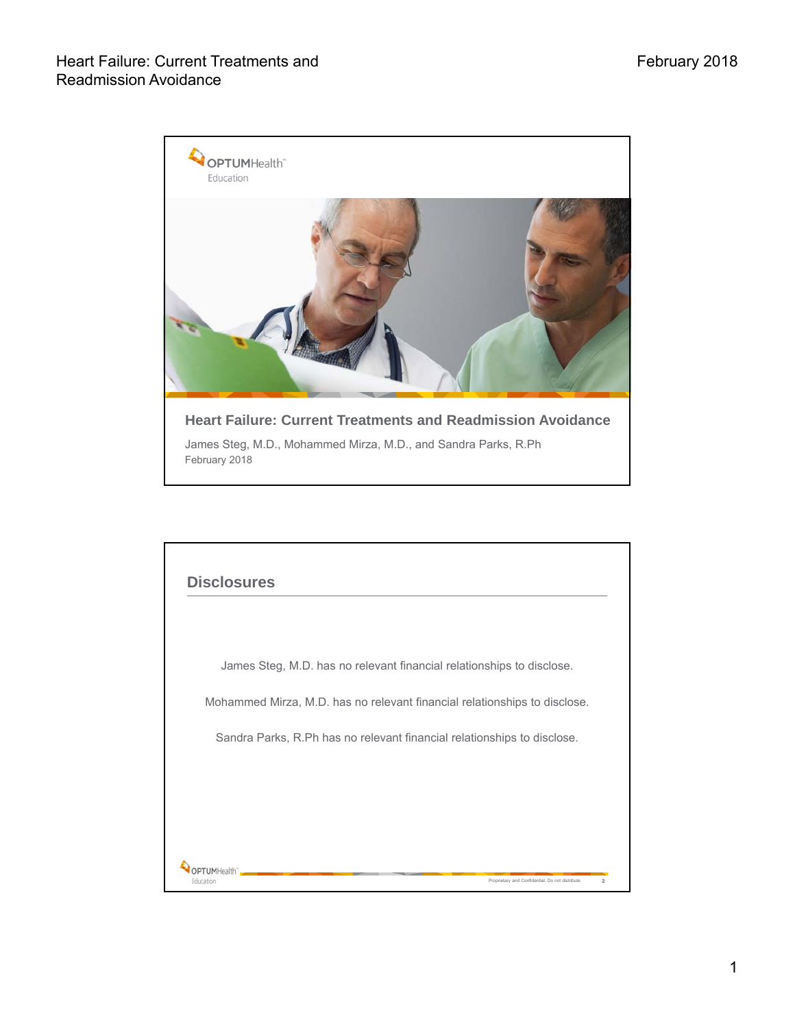

|  | James Steg, M.D. has no relevant financial relationships to disclose.     |
|--|---------------------------------------------------------------------------|
|  | Mohammed Mirza, M.D. has no relevant financial relationships to disclose. |
|  | Sandra Parks, R.Ph has no relevant financial relationships to disclose.   |
|  |                                                                           |
|  |                                                                           |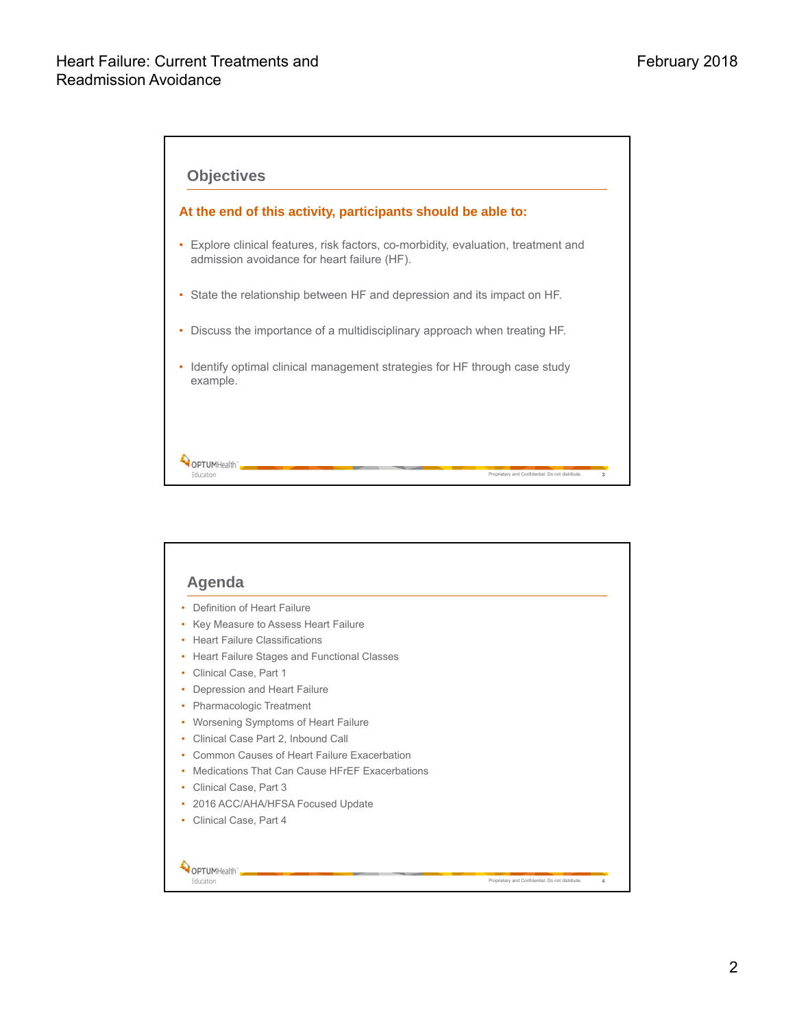

| Definition of Heart Failure                    |  |
|------------------------------------------------|--|
| Key Measure to Assess Heart Failure            |  |
| <b>Heart Failure Classifications</b>           |  |
| Heart Failure Stages and Functional Classes    |  |
| Clinical Case, Part 1                          |  |
| Depression and Heart Failure                   |  |
| Pharmacologic Treatment                        |  |
| Worsening Symptoms of Heart Failure            |  |
| Clinical Case Part 2, Inbound Call             |  |
| Common Causes of Heart Failure Exacerbation    |  |
| Medications That Can Cause HErFF Exacerbations |  |
| Clinical Case, Part 3                          |  |
| 2016 ACC/AHA/HFSA Focused Update               |  |
| Clinical Case, Part 4                          |  |
|                                                |  |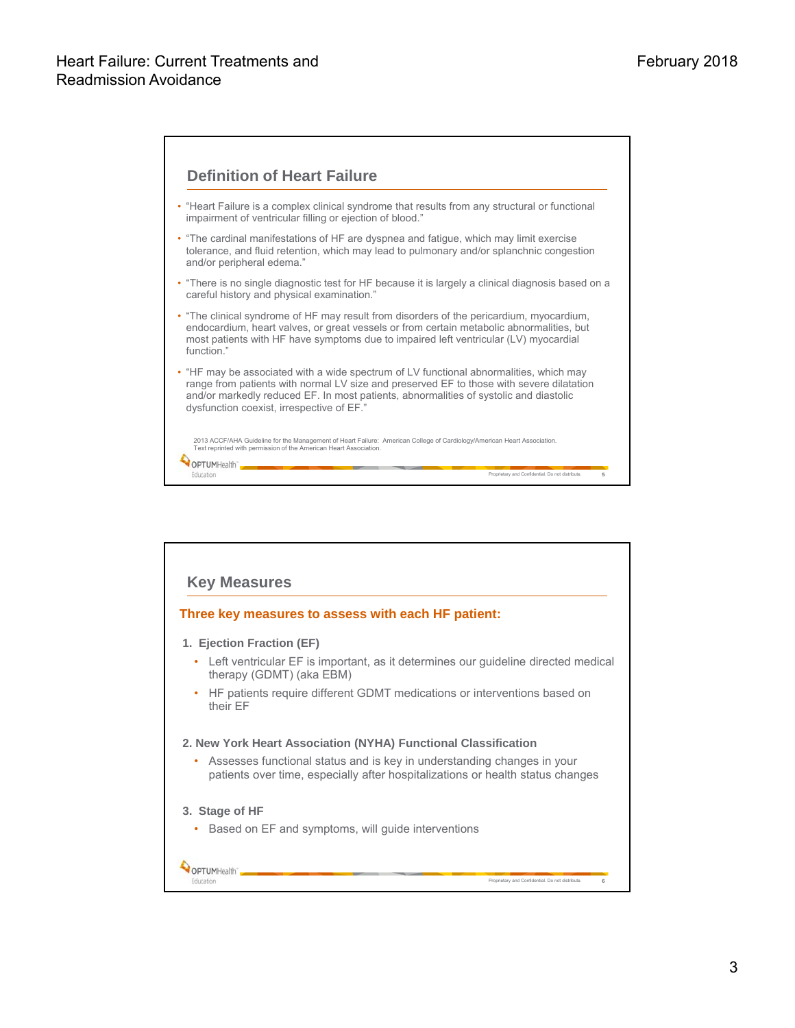

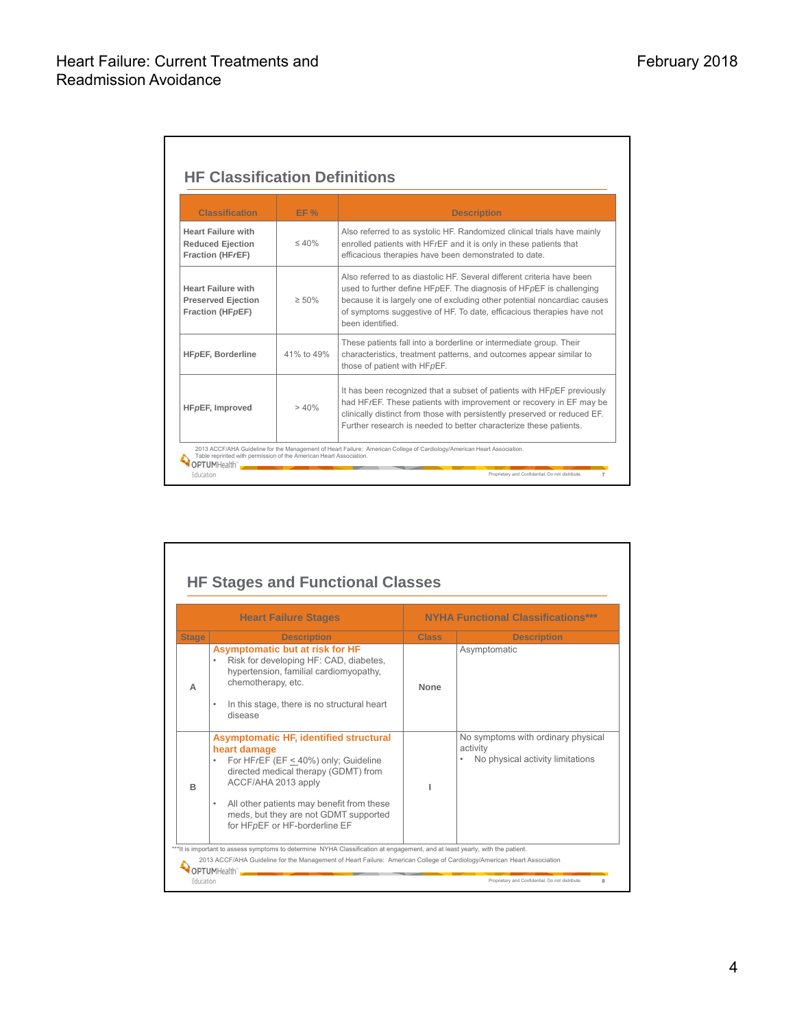Ē.

| <b>Classification</b>                                                           | EF%         | <b>Description</b>                                                                                                                                                                                                                                                                                                     |
|---------------------------------------------------------------------------------|-------------|------------------------------------------------------------------------------------------------------------------------------------------------------------------------------------------------------------------------------------------------------------------------------------------------------------------------|
| <b>Heart Failure with</b><br><b>Reduced Ejection</b><br><b>Fraction (HFrEF)</b> | $\leq 40\%$ | Also referred to as systolic HF. Randomized clinical trials have mainly<br>enrolled patients with HFrEF and it is only in these patients that<br>efficacious therapies have been demonstrated to date.                                                                                                                 |
| <b>Heart Failure with</b><br><b>Preserved Ejection</b><br>Fraction (HFpEF)      | $\geq 50\%$ | Also referred to as diastolic HF. Several different criteria have been<br>used to further define HFpEF. The diagnosis of HFpEF is challenging<br>because it is largely one of excluding other potential noncardiac causes<br>of symptoms suggestive of HF. To date, efficacious therapies have not<br>been identified. |
| <b>HFpEF, Borderline</b>                                                        | 41% to 49%  | These patients fall into a borderline or intermediate group. Their<br>characteristics, treatment patterns, and outcomes appear similar to<br>those of patient with HFpEF.                                                                                                                                              |
| HF <sub>pEF</sub> , Improved                                                    | > 40%       | It has been recognized that a subset of patients with $HFpEF$ previously<br>had HF/EF. These patients with improvement or recovery in EF may be<br>clinically distinct from those with persistently preserved or reduced EF.<br>Further research is needed to better characterize these patients.                      |

|              | <b>Heart Failure Stages</b>                                                                                                                                                                                                                                                                                   |              | <b>NYHA Functional Classifications***</b>                                          |
|--------------|---------------------------------------------------------------------------------------------------------------------------------------------------------------------------------------------------------------------------------------------------------------------------------------------------------------|--------------|------------------------------------------------------------------------------------|
| <b>Stage</b> | <b>Description</b>                                                                                                                                                                                                                                                                                            | <b>Class</b> | <b>Description</b>                                                                 |
| A            | Asymptomatic but at risk for HF<br>Risk for developing HF: CAD, diabetes,<br>hypertension, familial cardiomyopathy,<br>chemotherapy, etc.<br>In this stage, there is no structural heart<br>$\bullet$<br>disease                                                                                              | None         | Asymptomatic                                                                       |
| R            | <b>Asymptomatic HF, identified structural</b><br>heart damage<br>For HFrEF (EF < 40%) only; Guideline<br>۰<br>directed medical therapy (GDMT) from<br>ACCF/AHA 2013 apply<br>All other patients may benefit from these<br>$\bullet$<br>meds, but they are not GDMT supported<br>for HFpEF or HF-borderline EF |              | No symptoms with ordinary physical<br>activity<br>No physical activity limitations |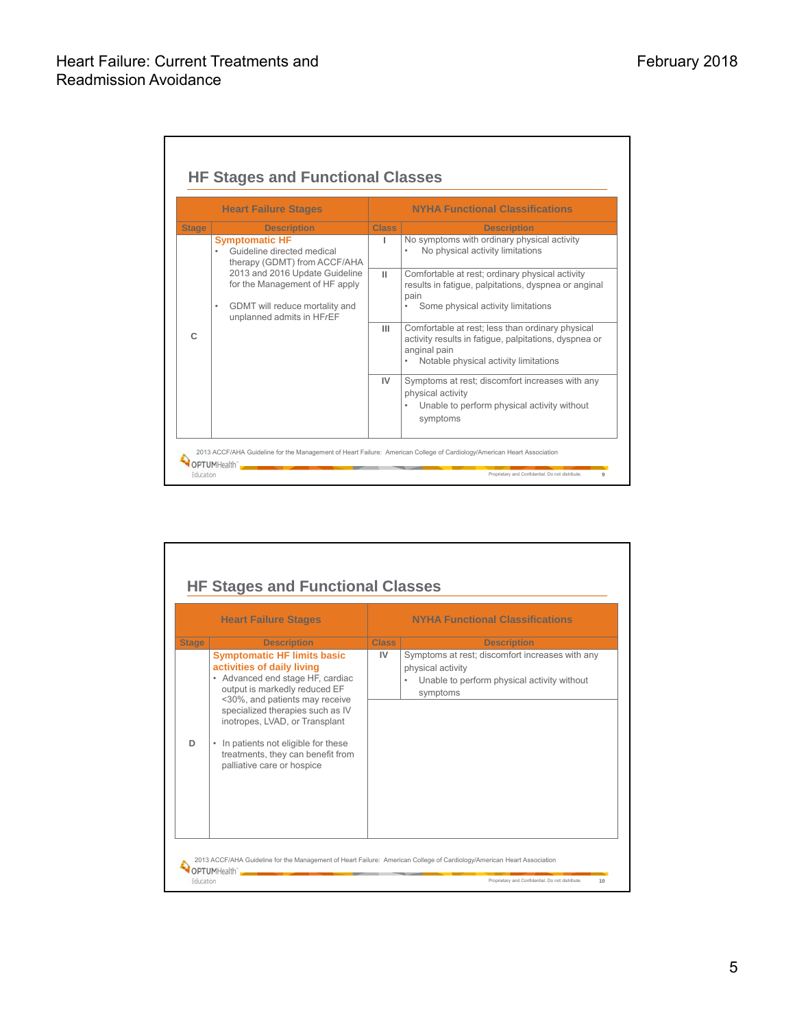|              | <b>Heart Failure Stages</b>                                                                                                          |              | <b>NYHA Functional Classifications</b>                                                                                                                             |
|--------------|--------------------------------------------------------------------------------------------------------------------------------------|--------------|--------------------------------------------------------------------------------------------------------------------------------------------------------------------|
| <b>Stage</b> | <b>Description</b>                                                                                                                   | <b>Class</b> | <b>Description</b>                                                                                                                                                 |
|              | <b>Symptomatic HF</b><br>Guideline directed medical<br>therapy (GDMT) from ACCF/AHA                                                  | п            | No symptoms with ordinary physical activity<br>No physical activity limitations                                                                                    |
|              | 2013 and 2016 Update Guideline<br>for the Management of HF apply<br>GDMT will reduce mortality and<br>٠<br>unplanned admits in HFrEF | $\mathbf{H}$ | Comfortable at rest; ordinary physical activity<br>results in fatigue, palpitations, dyspnea or anginal<br>pain<br>Some physical activity limitations              |
| C            |                                                                                                                                      | Ш            | Comfortable at rest; less than ordinary physical<br>activity results in fatique, palpitations, dyspnea or<br>anginal pain<br>Notable physical activity limitations |
|              |                                                                                                                                      | IV           | Symptoms at rest; discomfort increases with any<br>physical activity<br>Unable to perform physical activity without<br>symptoms                                    |

|              | <b>Heart Failure Stages</b>                                                                                                       |                    | <b>NYHA Functional Classifications</b>                                       |
|--------------|-----------------------------------------------------------------------------------------------------------------------------------|--------------------|------------------------------------------------------------------------------|
| <b>Stage</b> | <b>Description</b><br><b>Symptomatic HF limits basic</b>                                                                          | <b>Class</b><br>IV | <b>Description</b><br>Symptoms at rest; discomfort increases with any        |
|              | activities of daily living<br>• Advanced end stage HF, cardiac<br>output is markedly reduced EF<br><30%, and patients may receive |                    | physical activity<br>Unable to perform physical activity without<br>symptoms |
|              | specialized therapies such as IV<br>inotropes, LVAD, or Transplant                                                                |                    |                                                                              |
| D            | In patients not eligible for these<br>$\bullet$<br>treatments, they can benefit from<br>palliative care or hospice                |                    |                                                                              |
|              |                                                                                                                                   |                    |                                                                              |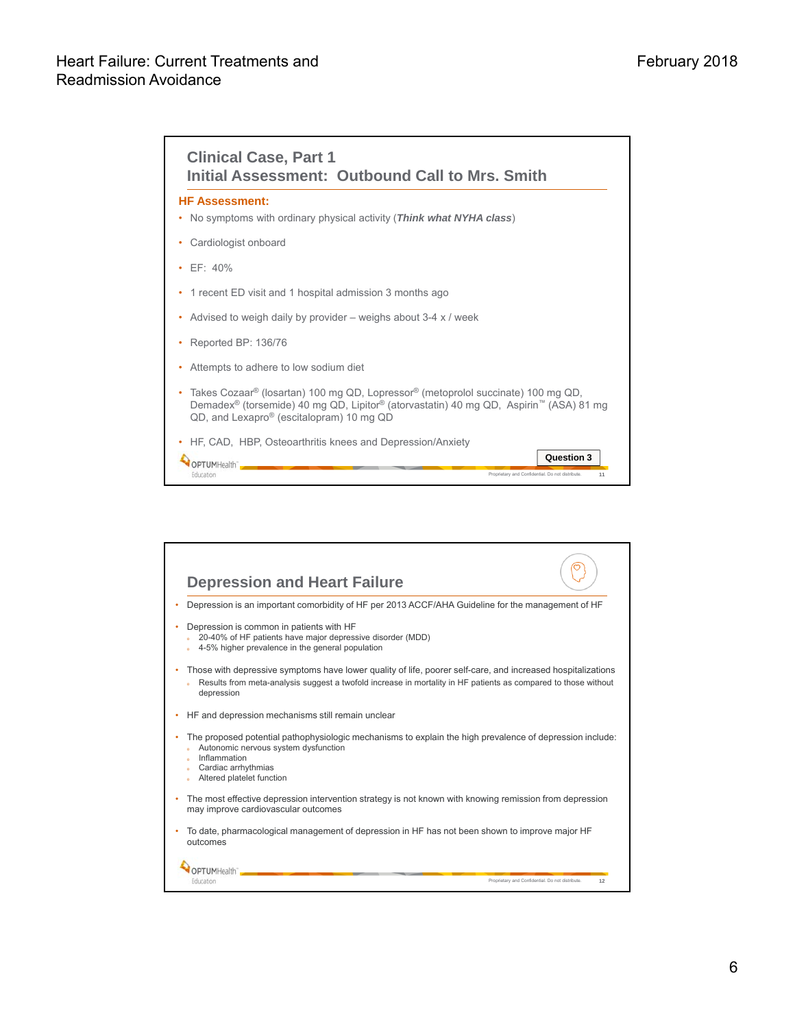| <b>HF Assessment:</b><br>No symptoms with ordinary physical activity (Think what NYHA class)                                                                                                                                                                                      |            |
|-----------------------------------------------------------------------------------------------------------------------------------------------------------------------------------------------------------------------------------------------------------------------------------|------------|
| Cardiologist onboard                                                                                                                                                                                                                                                              |            |
| FF: 40%                                                                                                                                                                                                                                                                           |            |
| 1 recent ED visit and 1 hospital admission 3 months ago                                                                                                                                                                                                                           |            |
| Advised to weigh daily by provider $-$ weighs about 3-4 x / week                                                                                                                                                                                                                  |            |
| Reported BP: 136/76                                                                                                                                                                                                                                                               |            |
| Attempts to adhere to low sodium diet                                                                                                                                                                                                                                             |            |
| Takes Cozaar <sup>®</sup> (losartan) 100 mg QD, Lopressor <sup>®</sup> (metoprolol succinate) 100 mg QD,<br>Demadex <sup>®</sup> (torsemide) 40 mg QD, Lipitor <sup>®</sup> (atorvastatin) 40 mg QD, Aspirin <sup>™</sup> (ASA) 81 mg<br>QD, and Lexapro® (escitalopram) 10 mg QD |            |
| HF, CAD, HBP, Osteoarthritis knees and Depression/Anxiety                                                                                                                                                                                                                         |            |
| OPTUMHealth"                                                                                                                                                                                                                                                                      | Question 3 |

| <b>Depression and Heart Failure</b>                                                                                                                                                                                                         |                                                        |
|---------------------------------------------------------------------------------------------------------------------------------------------------------------------------------------------------------------------------------------------|--------------------------------------------------------|
| Depression is an important comorbidity of HF per 2013 ACCF/AHA Guideline for the management of HF                                                                                                                                           |                                                        |
| Depression is common in patients with HF<br>20-40% of HF patients have major depressive disorder (MDD)<br>4-5% higher prevalence in the general population                                                                                  |                                                        |
| Those with depressive symptoms have lower quality of life, poorer self-care, and increased hospitalizations<br>Results from meta-analysis suggest a twofold increase in mortality in HF patients as compared to those without<br>depression |                                                        |
| HF and depression mechanisms still remain unclear                                                                                                                                                                                           |                                                        |
| The proposed potential pathophysiologic mechanisms to explain the high prevalence of depression include:<br>Autonomic nervous system dysfunction<br>Inflammation<br>Cardiac arrhythmias<br>Altered platelet function                        |                                                        |
| The most effective depression intervention strategy is not known with knowing remission from depression<br>may improve cardiovascular outcomes                                                                                              |                                                        |
| To date, pharmacological management of depression in HF has not been shown to improve major HF<br>outcomes                                                                                                                                  |                                                        |
|                                                                                                                                                                                                                                             |                                                        |
|                                                                                                                                                                                                                                             | Proprietary and Confidential. Do not distribute.<br>12 |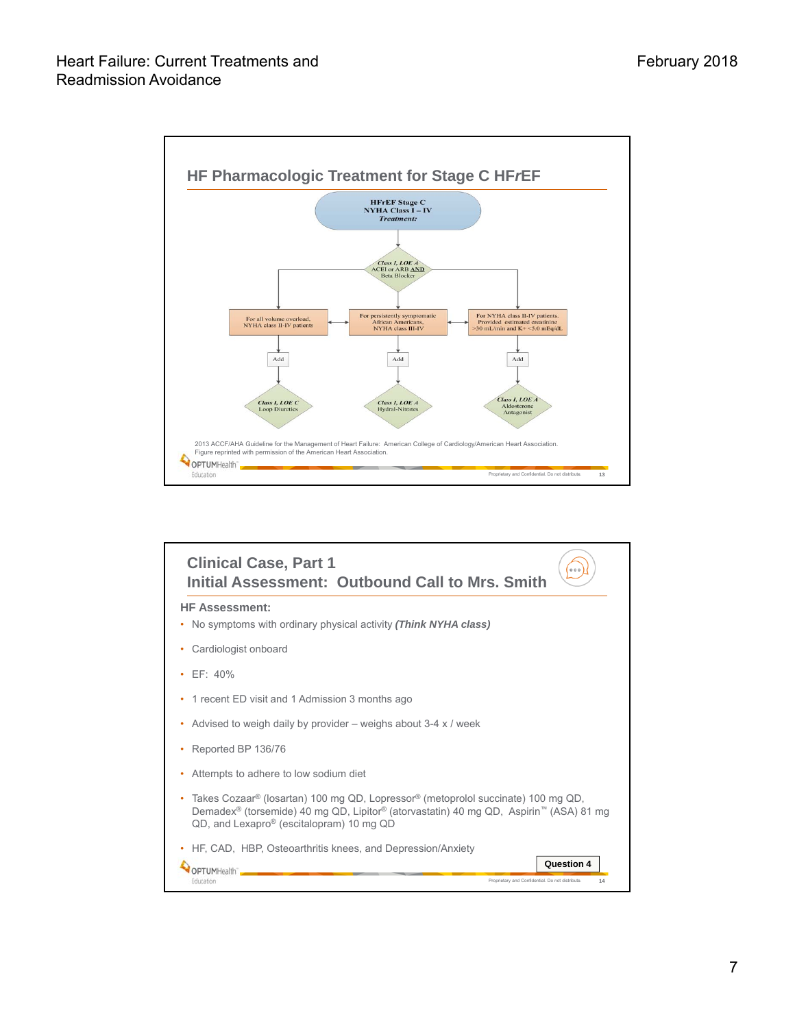

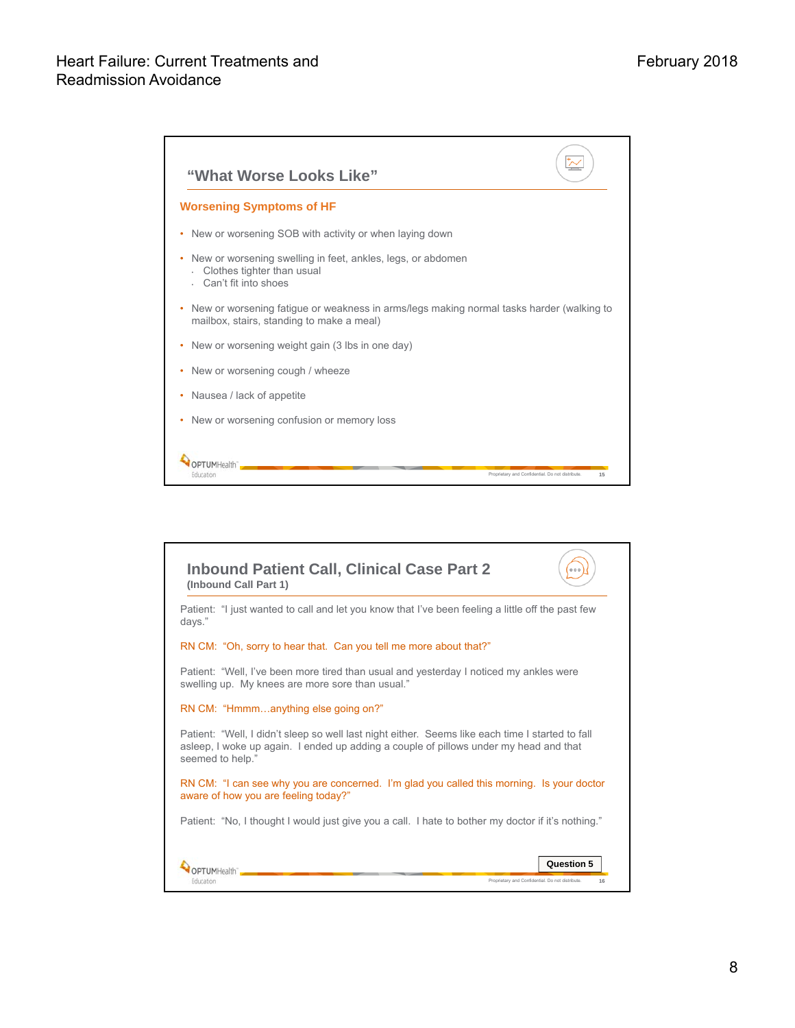

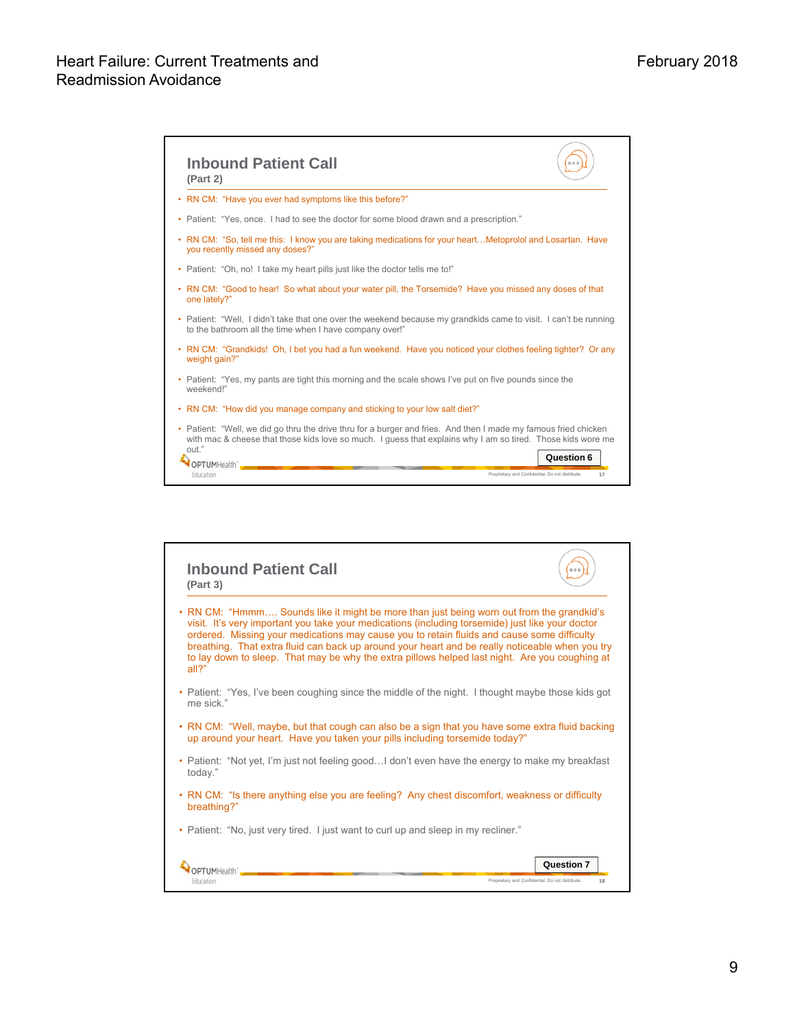

| <b>Inbound Patient Call</b><br>(Part 3)                                                                                                                                                                                                                                                                                                                                                                                                                                                                     | 000                                                    |
|-------------------------------------------------------------------------------------------------------------------------------------------------------------------------------------------------------------------------------------------------------------------------------------------------------------------------------------------------------------------------------------------------------------------------------------------------------------------------------------------------------------|--------------------------------------------------------|
| RN CM: "Hmmm Sounds like it might be more than just being worn out from the grandkid's<br>۰<br>visit. It's very important you take your medications (including torsemide) just like your doctor<br>ordered. Missing your medications may cause you to retain fluids and cause some difficulty<br>breathing. That extra fluid can back up around your heart and be really noticeable when you try<br>to lay down to sleep. That may be why the extra pillows helped last night. Are you coughing at<br>all?" |                                                        |
| • Patient: "Yes, I've been coughing since the middle of the night. I thought maybe those kids got<br>me sick."                                                                                                                                                                                                                                                                                                                                                                                              |                                                        |
| • RN CM: "Well, maybe, but that cough can also be a sign that you have some extra fluid backing<br>up around your heart. Have you taken your pills including torsemide today?"                                                                                                                                                                                                                                                                                                                              |                                                        |
| • Patient: "Not yet, I'm just not feeling goodI don't even have the energy to make my breakfast<br>today."                                                                                                                                                                                                                                                                                                                                                                                                  |                                                        |
| RN CM: "Is there anything else you are feeling? Any chest discomfort, weakness or difficulty<br>breathing?"                                                                                                                                                                                                                                                                                                                                                                                                 |                                                        |
| Patient: "No, just very tired. I just want to curl up and sleep in my recliner."<br>٠                                                                                                                                                                                                                                                                                                                                                                                                                       |                                                        |
|                                                                                                                                                                                                                                                                                                                                                                                                                                                                                                             | Question 7                                             |
| -ducation                                                                                                                                                                                                                                                                                                                                                                                                                                                                                                   | Proprietary and Confidential. Do not distribute.<br>18 |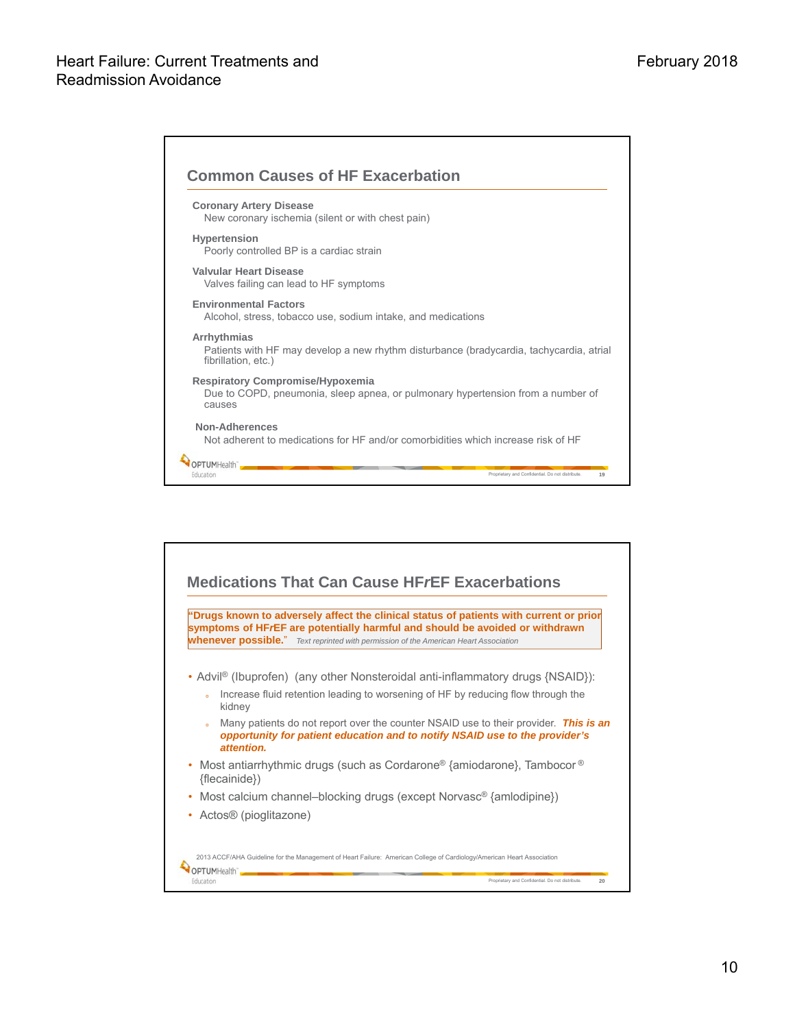Г

| <b>Coronary Artery Disease</b><br>New coronary ischemia (silent or with chest pain)                                                  |  |
|--------------------------------------------------------------------------------------------------------------------------------------|--|
| <b>Hypertension</b><br>Poorly controlled BP is a cardiac strain                                                                      |  |
| <b>Valvular Heart Disease</b><br>Valves failing can lead to HF symptoms                                                              |  |
| <b>Environmental Factors</b><br>Alcohol, stress, tobacco use, sodium intake, and medications                                         |  |
| Arrhythmias<br>Patients with HF may develop a new rhythm disturbance (bradycardia, tachycardia, atrial<br>fibrillation, etc.)        |  |
| <b>Respiratory Compromise/Hypoxemia</b><br>Due to COPD, pneumonia, sleep apnea, or pulmonary hypertension from a number of<br>causes |  |
| Non-Adherences<br>Not adherent to medications for HF and/or comorbidities which increase risk of HF                                  |  |
|                                                                                                                                      |  |

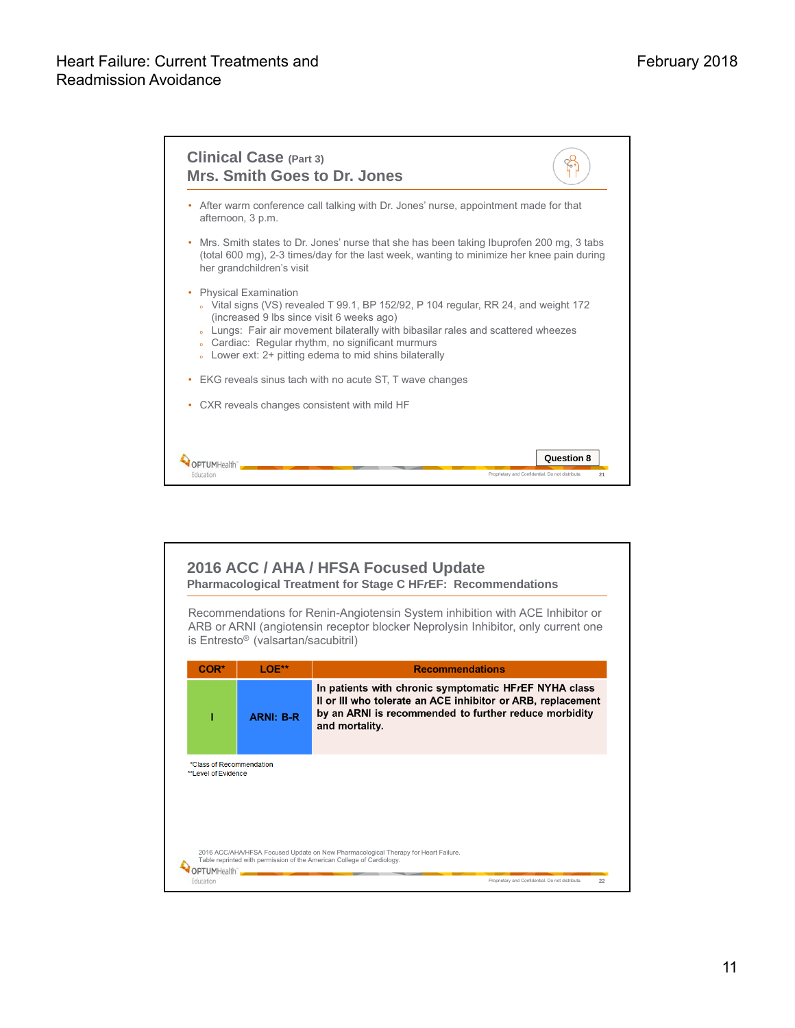

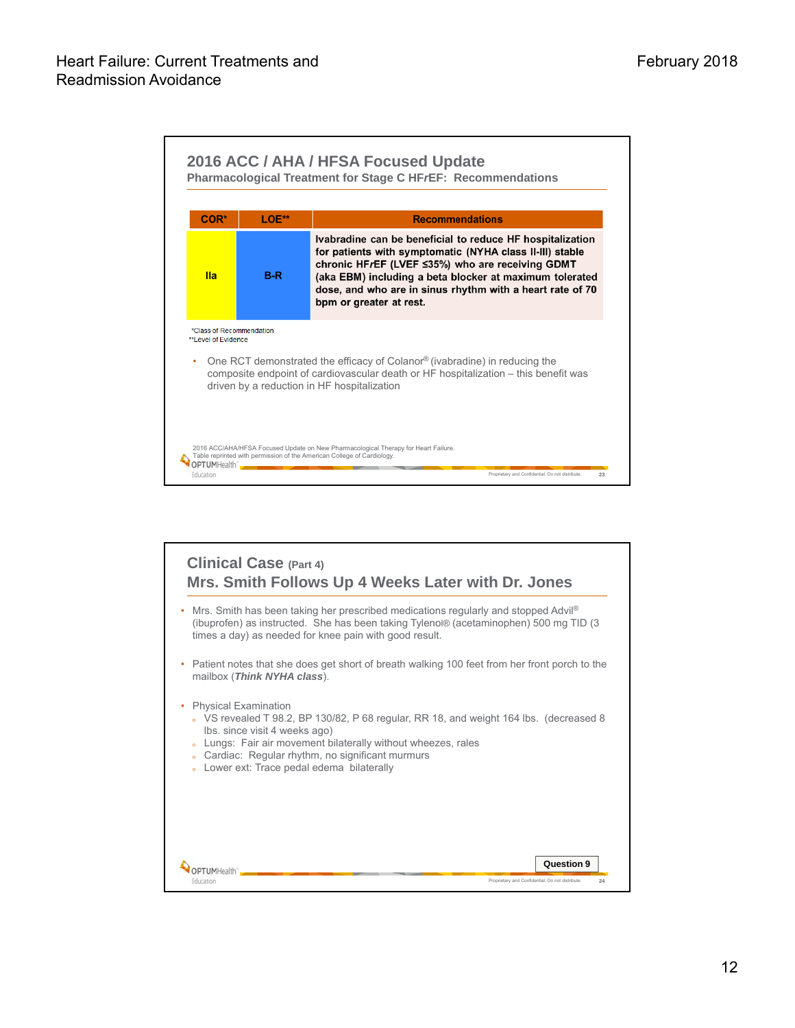

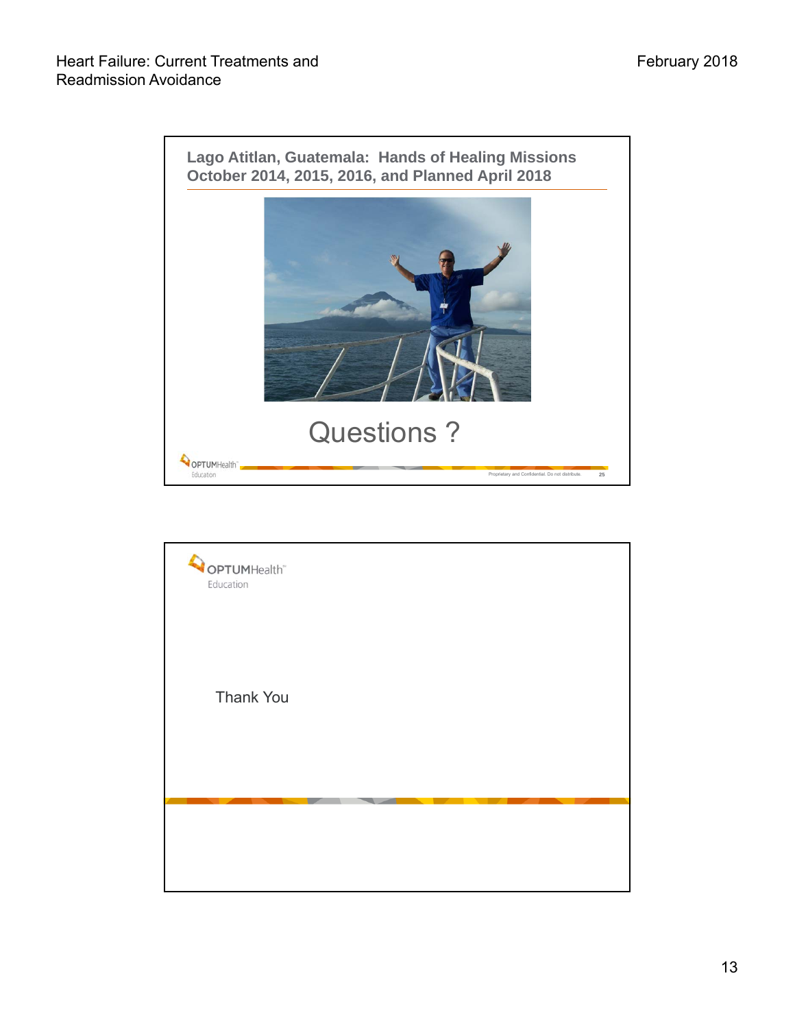